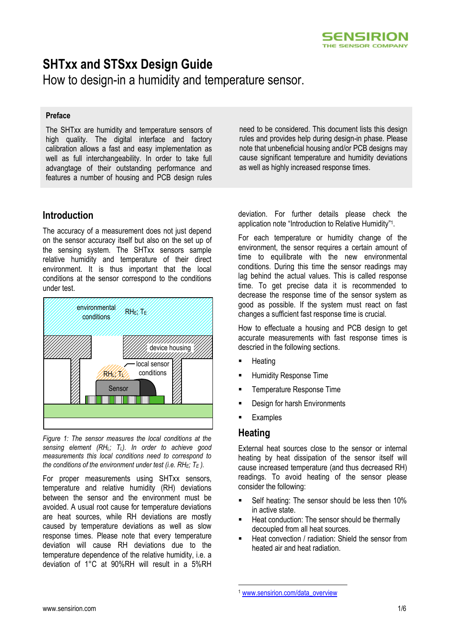# **SHTxx and STSxx Design Guide**

How to design-in a humidity and temperature sensor.

### **Preface**

The SHTxx are humidity and temperature sensors of high quality. The digital interface and factory calibration allows a fast and easy implementation as well as full interchangeability. In order to take full advangtage of their outstanding performance and features a number of housing and PCB design rules

# **Introduction**

The accuracy of a measurement does not just depend on the sensor accuracy itself but also on the set up of the sensing system. The SHTxx sensors sample relative humidity and temperature of their direct environment. It is thus important that the local conditions at the sensor correspond to the conditions under test.



<span id="page-0-0"></span>*Figure 1: The sensor measures the local conditions at the sensing element (RHL; TL). In order to achieve good measurements this local conditions need to correspond to the conditions of the environment under test (i.e. RHE; T<sup>E</sup> ).* 

For proper measurements using SHTxx sensors, temperature and relative humidity (RH) deviations between the sensor and the environment must be avoided. A usual root cause for temperature deviations are heat sources, while RH deviations are mostly caused by temperature deviations as well as slow response times. Please note that every temperature deviation will cause RH deviations due to the temperature dependence of the relative humidity, i.e. a deviation of 1°C at 90%RH will result in a 5%RH

need to be considered. This document lists this design rules and provides help during design-in phase. Please note that unbeneficial housing and/or PCB designs may cause significant temperature and humidity deviations as well as highly increased response times.

deviation. For further details please check the application note "Introduction to Relative Humidity"<sup>1</sup> .

For each temperature or humidity change of the environment, the sensor requires a certain amount of time to equilibrate with the new environmental conditions. During this time the sensor readings may lag behind the actual values. This is called response time. To get precise data it is recommended to decrease the response time of the sensor system as good as possible. If the system must react on fast changes a sufficient fast response time is crucial.

How to effectuate a housing and PCB design to get accurate measurements with fast response times is descried in the following sections.

- **Heating**
- Humidity Response Time
- **Temperature Response Time**
- Design for harsh Environments
- **Examples**

### **Heating**

<u>.</u>

External heat sources close to the sensor or internal heating by heat dissipation of the sensor itself will cause increased temperature (and thus decreased RH) readings. To avoid heating of the sensor please consider the following:

- Self heating: The sensor should be less then 10% in active state.
- Heat conduction: The sensor should be thermally decoupled from all heat sources.
- Heat convection / radiation: Shield the sensor from heated air and heat radiation.

<sup>1</sup> [www.sensirion.com/data\\_overview](http://www.sensirion.com/data_overview)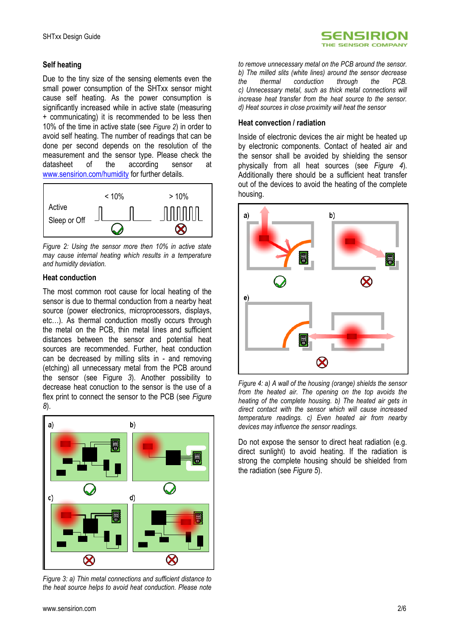### **Self heating**

Due to the tiny size of the sensing elements even the small power consumption of the SHTxx sensor might cause self heating. As the power consumption is significantly increased while in active state (measuring + communicating) it is recommended to be less then 10% of the time in active state (see *[Figure 2](#page-1-0)*) in order to avoid self heating. The number of readings that can be done per second depends on the resolution of the measurement and the sensor type. Please check the datasheet of the according sensor at [www.sensirion.com/humidity](http://www.sensirion.com/humidity) for further details.



<span id="page-1-0"></span>*Figure 2: Using the sensor more then 10% in active state may cause internal heating which results in a temperature and humidity deviation.*

### **Heat conduction**

The most common root cause for local heating of the sensor is due to thermal conduction from a nearby heat source (power electronics, microprocessors, displays, etc…). As thermal conduction mostly occurs through the metal on the PCB, thin metal lines and sufficient distances between the sensor and potential heat sources are recommended. Further, heat conduction can be decreased by milling slits in - and removing (etching) all unnecessary metal from the PCB around the sensor (see [Figure](#page-1-1) *3*). Another possibility to decrease heat conuction to the sensor is the use of a flex print to connect the sensor to the PCB (see *[Figure](#page-3-0)  [8](#page-3-0)*).



<span id="page-1-1"></span>*Figure 3: a) Thin metal connections and sufficient distance to the heat source helps to avoid heat conduction. Please note* 



*to remove unnecessary metal on the PCB around the sensor. b) The milled slits (white lines) around the sensor decrease the thermal conduction through the PCB. c) Unnecessary metal, such as thick metal connections will increase heat transfer from the heat source to the sensor. d) Heat sources in close proximity will heat the sensor*

### **Heat convection / radiation**

Inside of electronic devices the air might be heated up by electronic components. Contact of heated air and the sensor shall be avoided by shielding the sensor physically from all heat sources (see *[Figure 4](#page-1-2)*). Additionally there should be a sufficient heat transfer out of the devices to avoid the heating of the complete housing.



<span id="page-1-2"></span>*Figure 4: a) A wall of the housing (orange) shields the sensor from the heated air. The opening on the top avoids the heating of the complete housing. b) The heated air gets in direct contact with the sensor which will cause increased temperature readings. c) Even heated air from nearby devices may influence the sensor readings.*

Do not expose the sensor to direct heat radiation (e.g. direct sunlight) to avoid heating. If the radiation is strong the complete housing should be shielded from the radiation (see *[Figure 5](#page-2-0)*).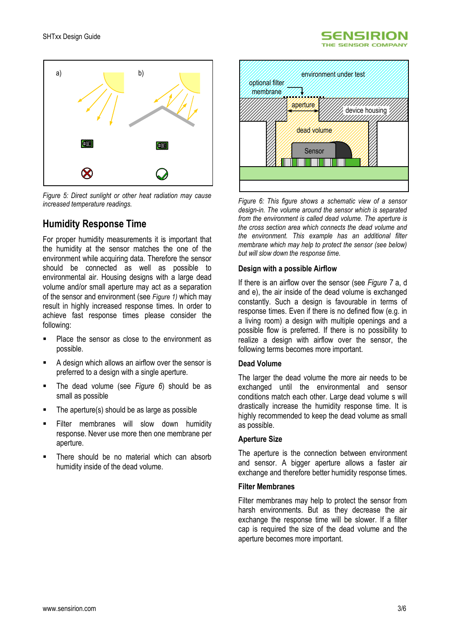



<span id="page-2-0"></span>*Figure 5: Direct sunlight or other heat radiation may cause increased temperature readings.*

# **Humidity Response Time**

For proper humidity measurements it is important that the humidity at the sensor matches the one of the environment while acquiring data. Therefore the sensor should be connected as well as possible to environmental air. Housing designs with a large dead volume and/or small aperture may act as a separation of the sensor and environment (see *[Figure 1\)](#page-0-0)* which may result in highly increased response times. In order to achieve fast response times please consider the following:

- Place the sensor as close to the environment as possible.
- A design which allows an airflow over the sensor is preferred to a design with a single aperture.
- The dead volume (see *[Figure 6](#page-2-1)*) should be as small as possible
- The aperture(s) should be as large as possible
- Filter membranes will slow down humidity response. Never use more then one membrane per aperture.
- There should be no material which can absorb humidity inside of the dead volume.



<span id="page-2-1"></span>*Figure 6: This figure shows a schematic view of a sensor design-in. The volume around the sensor which is separated from the environment is called dead volume. The aperture is the cross section area which connects the dead volume and the environment. This example has an additional filter membrane which may help to protect the sensor (see below) but will slow down the response time.*

### **Design with a possible Airflow**

If there is an airflow over the sensor (see *[Figure 7](#page-3-1)* a, d and e), the air inside of the dead volume is exchanged constantly. Such a design is favourable in terms of response times. Even if there is no defined flow (e.g. in a living room) a design with multiple openings and a possible flow is preferred. If there is no possibility to realize a design with airflow over the sensor, the following terms becomes more important.

### **Dead Volume**

The larger the dead volume the more air needs to be exchanged until the environmental and sensor conditions match each other. Large dead volume s will drastically increase the humidity response time. It is highly recommended to keep the dead volume as small as possible.

### **Aperture Size**

The aperture is the connection between environment and sensor. A bigger aperture allows a faster air exchange and therefore better humidity response times.

#### **Filter Membranes**

Filter membranes may help to protect the sensor from harsh environments. But as they decrease the air exchange the response time will be slower. If a filter cap is required the size of the dead volume and the aperture becomes more important.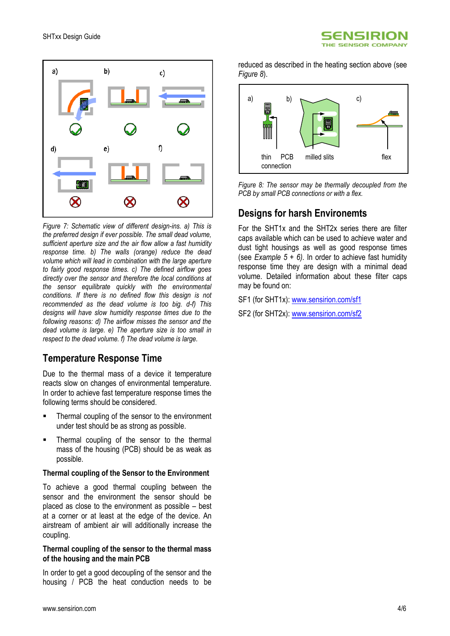



<span id="page-3-1"></span>*Figure 7: Schematic view of different design-ins. a) This is the preferred design if ever possible. The small dead volume, sufficient aperture size and the air flow allow a fast humidity response time. b) The walls (orange) reduce the dead volume which will lead in combination with the large aperture to fairly good response times. c) The defined airflow goes directly over the sensor and therefore the local conditions at the sensor equilibrate quickly with the environmental conditions. If there is no defined flow this design is not recommended as the dead volume is too big. d-f) This designs will have slow humidity response times due to the following reasons: d) The airflow misses the sensor and the dead volume is large. e) The aperture size is too small in respect to the dead volume. f) The dead volume is large.*

# **Temperature Response Time**

Due to the thermal mass of a device it temperature reacts slow on changes of environmental temperature. In order to achieve fast temperature response times the following terms should be considered.

- Thermal coupling of the sensor to the environment under test should be as strong as possible.
- Thermal coupling of the sensor to the thermal mass of the housing (PCB) should be as weak as possible.

### **Thermal coupling of the Sensor to the Environment**

To achieve a good thermal coupling between the sensor and the environment the sensor should be placed as close to the environment as possible – best at a corner or at least at the edge of the device. An airstream of ambient air will additionally increase the coupling.

### **Thermal coupling of the sensor to the thermal mass of the housing and the main PCB**

In order to get a good decoupling of the sensor and the housing / PCB the heat conduction needs to be

reduced as described in the heating section above (see *[Figure 8](#page-3-0)*).



<span id="page-3-0"></span>*Figure 8: The sensor may be thermally decoupled from the PCB by small PCB connections or with a flex.*

# **Designs for harsh Environemts**

For the SHT1x and the SHT2x series there are filter caps available which can be used to achieve water and dust tight housings as well as good response times (see *[Example 5](#page-4-0) + 6)*. In order to achieve fast humidity response time they are design with a minimal dead volume. Detailed information about these filter caps may be found on:

SF1 (for SHT1x): [www.sensirion.com/sf1](http://www.sensirion.com/sf1)

SF2 (for SHT2x): [www.sensirion.com/sf2](http://www.sensirion.com/sf2)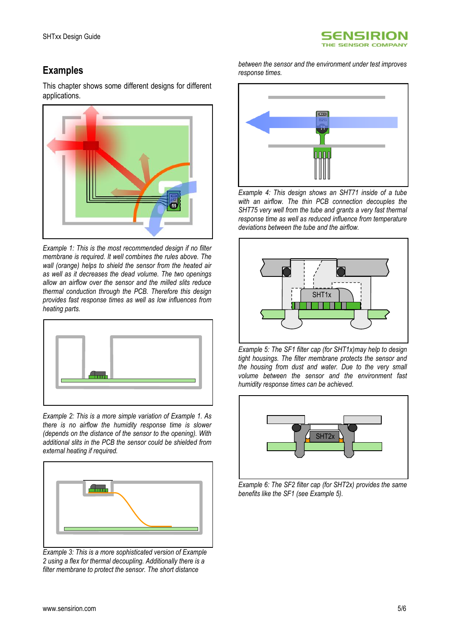

# **Examples**

This chapter shows some different designs for different applications.



<span id="page-4-1"></span>*Example 1: This is the most recommended design if no filter membrane is required. It well combines the rules above. The wall (orange) helps to shield the sensor from the heated air as well as it decreases the dead volume. The two openings allow an airflow over the sensor and the milled slits reduce thermal conduction through the PCB. Therefore this design provides fast response times as well as low influences from heating parts.*



<span id="page-4-2"></span>*Example 2: This is a more simple variation of [Example 1.](#page-4-1) As there is no airflow the humidity response time is slower (depends on the distance of the sensor to the opening). With additional slits in the PCB the sensor could be shielded from external heating if required.*



*Example 3: This is a more sophisticated version of [Example](#page-4-2)  [2](#page-4-2) using a flex for thermal decoupling. Additionally there is a filter membrane to protect the sensor. The short distance* 

*between the sensor and the environment under test improves response times.*



*Example 4: This design shows an SHT71 inside of a tube with an airflow. The thin PCB connection decouples the SHT75 very well from the tube and grants a very fast thermal response time as well as reduced influence from temperature deviations between the tube and the airflow.*



<span id="page-4-0"></span>*Example 5: The SF1 filter cap (for SHT1x)may help to design tight housings. The filter membrane protects the sensor and the housing from dust and water. Due to the very small volume between the sensor and the environment fast humidity response times can be achieved.*



*Example 6: The SF2 filter cap (for SHT2x) provides the same benefits like the SF1 (see [Example 5\)](#page-4-0).*